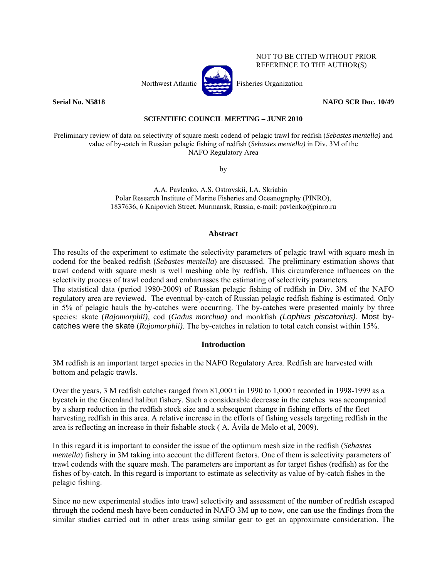

NOT TO BE CITED WITHOUT PRIOR REFERENCE TO THE AUTHOR(S)

**Serial No. N5818 NAFO SCR Doc. 10/49** 

# **SCIENTIFIC COUNCIL MEETING – JUNE 2010**

Preliminary review of data on selectivity of square mesh codend of pelagic trawl for redfish (*Sebastes mentella)* and value of by-catch in Russian pelagic fishing of redfish (*Sebastes mentella)* in Div. 3M of the NAFO Regulatory Area

by

A.A. Pavlenko, A.S. Ostrovskii, I.A. Skriabin Polar Research Institute of Marine Fisheries and Oceanography (PINRO), 1837636, 6 Knipovich Street, Murmansk, Russia, e-mail: pavlenko@pinro.ru

## **Abstract**

The results of the experiment to estimate the selectivity parameters of pelagic trawl with square mesh in codend for the beaked redfish (*Sebastes mentella*) are discussed. The preliminary estimation shows that trawl codend with square mesh is well meshing able by redfish. This circumference influences on the selectivity process of trawl codend and embarrasses the estimating of selectivity parameters. The statistical data (period 1980-2009) of Russian pelagic fishing of redfish in Div. 3M of the NAFO regulatory area are reviewed. The eventual by-catch of Russian pelagic redfish fishing is estimated. Only in 5% of pelagic hauls the by-catches were occurring. The by-catches were presented mainly by three species: skate (*Rajomorphii)*, cod (*Gadus morchua)* and monkfish *(Lophius piscatorius)*. Most bycatches were the skate (*Rajomorphii)*. The by-catches in relation to total catch consist within 15%.

# **Introduction**

3M redfish is an important target species in the NAFO Regulatory Area. Redfish are harvested with bottom and pelagic trawls.

Over the years, 3 M redfish catches ranged from 81,000 t in 1990 to 1,000 t recorded in 1998-1999 as a bycatch in the Greenland halibut fishery. Such a considerable decrease in the catches was accompanied by a sharp reduction in the redfish stock size and a subsequent change in fishing efforts of the fleet harvesting redfish in this area. A relative increase in the efforts of fishing vessels targeting redfish in the area is reflecting an increase in their fishable stock ( A. Ávila de Melo et al, 2009).

In this regard it is important to consider the issue of the optimum mesh size in the redfish (*Sebastes mentella*) fishery in 3M taking into account the different factors. One of them is selectivity parameters of trawl codends with the square mesh. The parameters are important as for target fishes (redfish) as for the fishes of by-catch. In this regard is important to estimate as selectivity as value of by-catch fishes in the pelagic fishing.

Since no new experimental studies into trawl selectivity and assessment of the number of redfish escaped through the codend mesh have been conducted in NAFO 3M up to now, one can use the findings from the similar studies carried out in other areas using similar gear to get an approximate consideration. The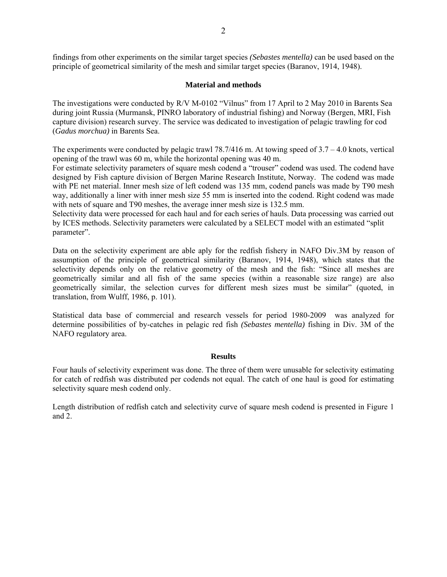findings from other experiments on the similar target species *(Sebastes mentella)* can be used based on the principle of geometrical similarity of the mesh and similar target species (Baranov, 1914, 1948).

#### **Material and methods**

The investigations were conducted by R/V M-0102 "Vilnus" from 17 April to 2 May 2010 in Barents Sea during joint Russia (Murmansk, PINRO laboratory of industrial fishing) and Norway (Bergen, MRI, Fish capture division) research survey. The service was dedicated to investigation of pelagic trawling for cod (*Gadus morchua)* in Barents Sea.

The experiments were conducted by pelagic trawl  $78.7/416$  m. At towing speed of  $3.7 - 4.0$  knots, vertical opening of the trawl was 60 m, while the horizontal opening was 40 m.

For estimate selectivity parameters of square mesh codend a "trouser" codend was used. The codend have designed by Fish capture division of Bergen Marine Research Institute, Norway. The codend was made with PE net material. Inner mesh size of left codend was 135 mm, codend panels was made by T90 mesh way, additionally a liner with inner mesh size 55 mm is inserted into the codend. Right codend was made with nets of square and T90 meshes, the average inner mesh size is 132.5 mm.

Selectivity data were processed for each haul and for each series of hauls. Data processing was carried out by ICES methods. Selectivity parameters were calculated by a SELECT model with an estimated "split parameter".

Data on the selectivity experiment are able aply for the redfish fishery in NAFO Div.3M by reason of assumption of the principle of geometrical similarity (Baranov, 1914, 1948), which states that the selectivity depends only on the relative geometry of the mesh and the fish: "Since all meshes are geometrically similar and all fish of the same species (within a reasonable size range) are also geometrically similar, the selection curves for different mesh sizes must be similar" (quoted, in translation, from Wulff, 1986, p. 101).

Statistical data base of commercial and research vessels for period 1980-2009 was analyzed for determine possibilities of by-catches in pelagic red fish *(Sebastes mentella)* fishing in Div. 3M of the NAFO regulatory area.

## **Results**

Four hauls of selectivity experiment was done. The three of them were unusable for selectivity estimating for catch of redfish was distributed per codends not equal. The catch of one haul is good for estimating selectivity square mesh codend only.

Length distribution of redfish catch and selectivity curve of square mesh codend is presented in Figure 1 and 2.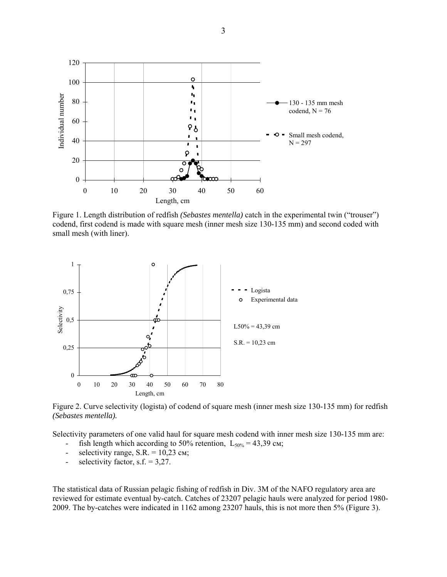

Figure 1. Length distribution of redfish *(Sebastes mentella)* catch in the experimental twin ("trouser") codend, first codend is made with square mesh (inner mesh size 130-135 mm) and second coded with small mesh (with liner).



Figure 2. Curve selectivity (logista) of codend of square mesh (inner mesh size 130-135 mm) for redfish *(Sebastes mentella).*

Selectivity parameters of one valid haul for square mesh codend with inner mesh size 130-135 mm are:

- fish length which according to 50% retention,  $L_{50\%} = 43,39$  cm;
- selectivity range,  $S.R. = 10,23$  cm;
- selectivity factor,  $s.f. = 3,27$ .

The statistical data of Russian pelagic fishing of redfish in Div. 3M of the NAFO regulatory area are reviewed for estimate eventual by-catch. Catches of 23207 pelagic hauls were analyzed for period 1980- 2009. The by-catches were indicated in 1162 among 23207 hauls, this is not more then 5% (Figure 3).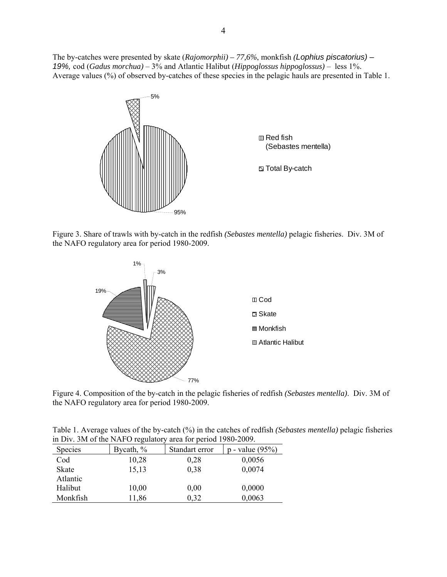The by-catches were presented by skate (*Rajomorphii) – 77,6%*, monkfish *(Lophius piscatorius) – 19%,* cod (*Gadus morchua)* – 3% and Atlantic Halibut (*Hippoglossus hippoglossus)* – less 1%. Average values (%) of observed by-catches of these species in the pelagic hauls are presented in Table 1.





**El Total By-catch** 

Figure 3. Share of trawls with by-catch in the redfish *(Sebastes mentella)* pelagic fisheries. Div. 3M of the NAFO regulatory area for period 1980-2009.



Figure 4. Composition of the by-catch in the pelagic fisheries of redfish *(Sebastes mentella)*. Div. 3M of the NAFO regulatory area for period 1980-2009.

Table 1. Average values of the by-catch (%) in the catches of redfish *(Sebastes mentella)* pelagic fisheries in Div. 3M of the NAFO regulatory area for period 1980-2009.

| <b>Species</b> | Bycath, $\%$ | Standart error | $p$ - value (95%) |
|----------------|--------------|----------------|-------------------|
| Cod            | 10,28        | 0,28           | 0,0056            |
| <b>Skate</b>   | 15,13        | 0,38           | 0,0074            |
| Atlantic       |              |                |                   |
| Halibut        | 10,00        | 0,00           | 0,0000            |
| Monkfish       | 11,86        | 0.32           | 0,0063            |